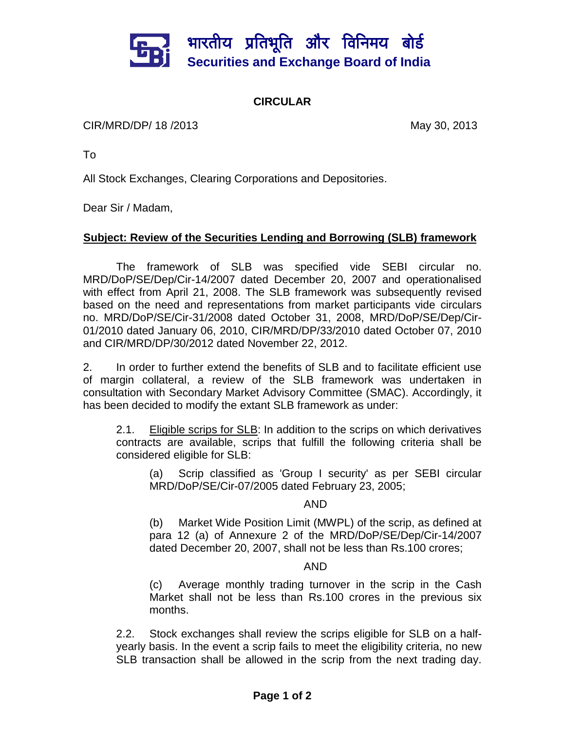

## **CIRCULAR**

CIR/MRD/DP/ 18 /2013 May 30, 2013

To

All Stock Exchanges, Clearing Corporations and Depositories.

Dear Sir / Madam,

## **Subject: Review of the Securities Lending and Borrowing (SLB) framework**

The framework of SLB was specified vide SEBI circular no. MRD/DoP/SE/Dep/Cir-14/2007 dated December 20, 2007 and operationalised with effect from April 21, 2008. The SLB framework was subsequently revised based on the need and representations from market participants vide circulars no. MRD/DoP/SE/Cir-31/2008 dated October 31, 2008, MRD/DoP/SE/Dep/Cir-01/2010 dated January 06, 2010, CIR/MRD/DP/33/2010 dated October 07, 2010 and CIR/MRD/DP/30/2012 dated November 22, 2012.

2. In order to further extend the benefits of SLB and to facilitate efficient use of margin collateral, a review of the SLB framework was undertaken in consultation with Secondary Market Advisory Committee (SMAC). Accordingly, it has been decided to modify the extant SLB framework as under:

2.1. Eligible scrips for SLB: In addition to the scrips on which derivatives contracts are available, scrips that fulfill the following criteria shall be considered eligible for SLB:

(a) Scrip classified as 'Group I security' as per SEBI circular MRD/DoP/SE/Cir-07/2005 dated February 23, 2005;

## AND

(b) Market Wide Position Limit (MWPL) of the scrip, as defined at para 12 (a) of Annexure 2 of the MRD/DoP/SE/Dep/Cir-14/2007 dated December 20, 2007, shall not be less than Rs.100 crores;

## AND

(c) Average monthly trading turnover in the scrip in the Cash Market shall not be less than Rs.100 crores in the previous six months.

2.2. Stock exchanges shall review the scrips eligible for SLB on a halfyearly basis. In the event a scrip fails to meet the eligibility criteria, no new SLB transaction shall be allowed in the scrip from the next trading day.